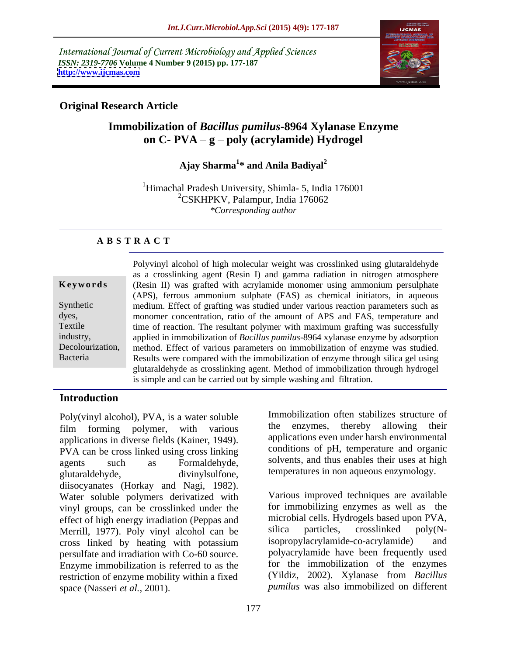International Journal of Current Microbiology and Applied Sciences *ISSN: 2319-7706* **Volume 4 Number 9 (2015) pp. 177-187 <http://www.ijcmas.com>**



### **Original Research Article**

### **Immobilization of** *Bacillus pumilus***-8964 Xylanase Enzyme on C- PVA – g – poly** (acrylamide) Hydrogel

### Ajay Sharma<sup>1\*</sup> and Anila Badival<sup>2</sup> **\* and Anila Badiyal<sup>2</sup>**

<sup>1</sup>Himachal Pradesh University, Shimla- 5, India 176001 <sup>2</sup>CSKHPKV, Palampur, India 176062 *\*Corresponding author*

### **A B S T R A C T**

|                  | Polyvinyl alcohol of high molecular weight was crosslinked using glutaraldehyde  |
|------------------|----------------------------------------------------------------------------------|
|                  | as a crosslinking agent (Resin I) and gamma radiation in nitrogen atmosphere     |
| Keywords         | (Resin II) was grafted with acrylamide monomer using ammonium persulphate        |
|                  | (APS), ferrous ammonium sulphate (FAS) as chemical initiators, in aqueous        |
| Synthetic        | medium. Effect of grafting was studied under various reaction parameters such as |
| dyes,            | monomer concentration, ratio of the amount of APS and FAS, temperature and       |
| Textile          | time of reaction. The resultant polymer with maximum grafting was successfully   |
| industry,        | applied in immobilization of Bacillus pumilus-8964 xylanase enzyme by adsorption |
| Decolourization, | method. Effect of various parameters on immobilization of enzyme was studied.    |
| Bacteria         | Results were compared with the immobilization of enzyme through silica gel using |
|                  | glutaraldehyde as crosslinking agent. Method of immobilization through hydrogel  |
|                  | is simple and can be carried out by simple washing and filtration.               |

### **Introduction**

Poly(vinyl alcohol), PVA, is a water soluble film forming polymer, with various applications in diverse fields (Kainer, 1949). PVA can be cross linked using cross linking agents such as Formaldehyde, solvents, and thus enables their uses at high glutaraldehyde, divinylsulfone, temperatures in non aqueous enzymology. diisocyanates (Horkay and Nagi, 1982). Water soluble polymers derivatized with vinyl groups, can be crosslinked under the effect of high energy irradiation (Peppas and microbial cells. Hydrogels based upon PVA,<br>Merrill 1977) Poly vinyl alcohol can be silica particles, crosslinked poly(N-Merrill, 1977). Poly vinyl alcohol can be silica particles, crosslinked poly(N-<br>cross linked by heating with potassium isopropylacrylamide-co-acrylamide) and cross linked by heating with potassium persulfate and irradiation with Co-60 source. Enzyme immobilization is referred to as the restriction of enzyme mobility within a fixed space (Nasseri *et al.,* 2001). *pumilus* was also immobilized on different

Immobilization often stabilizes structure of the enzymes, thereby allowing their applications even under harsh environmental conditions of pH, temperature and organic

Various improved techniques are available for immobilizing enzymes as well as the microbial cells. Hydrogels based upon PVA, silica particles, crosslinked poly(Nisopropylacrylamide-co-acrylamide) polyacrylamide have been frequently used for the immobilization of the enzymes (Yildiz, 2002). Xylanase from *Bacillus*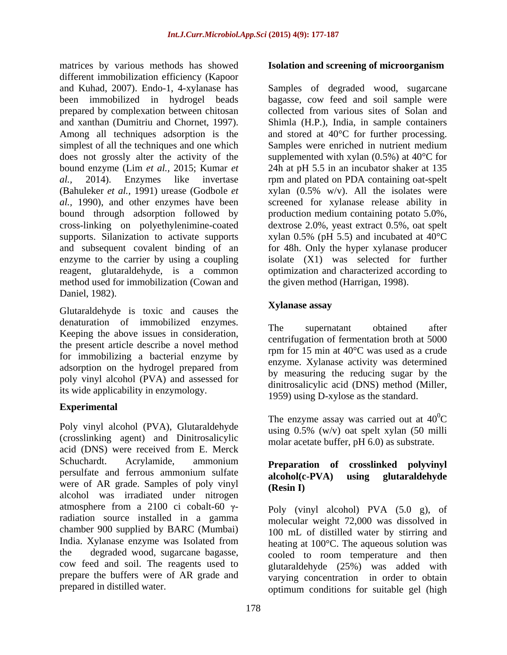matrices by various methods has showed **Isolation and screening of microorganism** different immobilization efficiency (Kapoor and Kuhad, 2007). Endo-1, 4-xylanase has Samples of degraded wood, sugarcane been immobilized in hydrogel beads bagasse, cow feed and soil sample were prepared by complexation between chitosan and xanthan (Dumitriu and Chornet, 1997). Shimla (H.P.), India, in sample containers Among all techniques adsorption is the and stored at 40°C for further processing. simplest of all the techniques and one which Samples were enriched in nutrient medium does not grossly alter the activity of the supplemented with xylan (0.5%) at 40°C for bound enzyme (Lim *et al.,* 2015; Kumar *et*  24h at pH 5.5 in an incubator shaker at 135 *al.,* 2014). Enzymes like invertase rpm and plated on PDA containing oat-spelt (Bahuleker *et al.*, 1991) urease (Godbole *et* xylan (0.5% w/v). All the isolates were *al.,* 1990), and other enzymes have been screened for xylanase release ability in bound through adsorption followed by production medium containing potato 5.0%, cross-linking on polyethylenimine-coated dextrose 2.0%, yeast extract 0.5%, oat spelt supports. Silanization to activate supports xylan 0.5% (pH 5.5) and incubated at 40°C and subsequent covalent binding of an for 48h. Only the hyper xylanase producer enzyme to the carrier by using a coupling reagent, glutaraldehyde, is a common method used for immobilization (Cowan and Daniel, 1982).

Glutaraldehyde is toxic and causes the **Xylanase assay** denaturation of immobilized enzymes.<br>The supernatant obtained after Keeping the above issues in consideration, the present article describe a novel method for immobilizing a bacterial enzyme by adsorption on the hydrogel prepared from poly vinyl alcohol (PVA) and assessed for its wide applicability in enzymology.

### **Experimental**

Poly vinyl alcohol (PVA), Glutaraldehyde (crosslinking agent) and Dinitrosalicylic acid (DNS) were received from E. Merck Schuchardt. Acrylamide, ammonium **Preparation of crosslinked polyvinyl** persulfate and ferrous ammonium sulfate alcohol(c-PVA) using glutaraldehyde were of AR grade. Samples of poly vinyl  $(Resin I)$ alcohol was irradiated under nitrogen atmosphere from a 2100 ci cobalt-60  $\gamma$ radiation source installed in a gamma chamber 900 supplied by BARC (Mumbai) India. Xylanase enzyme was Isolated from<br>the degraded wood, sugarcane bagasse, cow feed and soil. The reagents used to prepare the buffers were of AR grade and

### **Isolation and screening of microorganism**

collected from various sites of Solan and Samples were enriched in nutrient medium isolate (X1) was selected for further optimization and characterized according to the given method (Harrigan, 1998).

### **Xylanase assay**

The supernatant obtained after centrifugation of fermentation broth at 5000 rpm for 15 min at 40°C was used as a crude enzyme. Xylanase activity was determined by measuring the reducing sugar by the dinitrosalicylic acid (DNS) method (Miller, 1959) using D-xylose as the standard.

The enzyme assay was carried out at  $40^0C$  $\rm{^{0}C}$ using 0.5% (w/v) oat spelt xylan (50 milli molar acetate buffer, pH 6.0) as substrate.

### **Preparation of crosslinked polyvinyl alcohol(c-PVA) using glutaraldehyde (Resin )**

the degraded wood, sugarcane bagasse, cooled to room temperature and then prepared in distilled water. optimum conditions for suitable gel (high Poly (vinyl alcohol) PVA (5.0 g), of molecular weight 72,000 was dissolved in 100 mL of distilled water by stirring and heating at 100°C. The aqueous solution was glutaraldehyde (25%) was added with varying concentration in order to obtain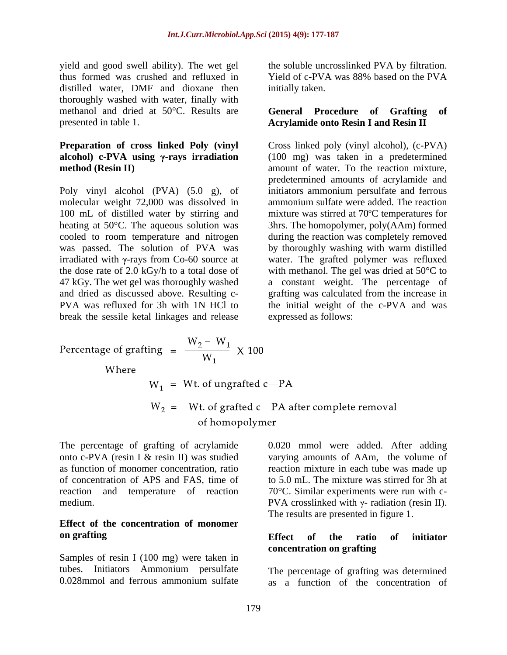yield and good swell ability). The wet gel the soluble uncrosslinked PVA by filtration. thus formed was crushed and refluxed in Yield of c-PVA was 88% based on the PVA distilled water, DMF and dioxane then initially taken. thoroughly washed with water, finally with methanol and dried at 50°C. Results are **General Procedure of Grafting of** 

100 mL of distilled water by stirring and break the sessile ketal linkages and release

initially taken.

### presented in table 1. **Acrylamide onto Resin I and Resin II General Procedure of Grafting of**

**Preparation of cross linked Poly (vinyl** Cross linked poly (vinyl alcohol), (c-PVA) **alcohol) c-PVA using**  $\gamma$ -rays **irradiation** (100 mg) was taken in a predetermined **method (Resin II)** amount of water. To the reaction mixture, Poly vinyl alcohol (PVA) (5.0 g), of initiators ammonium persulfate and ferrous molecular weight 72,000 was dissolved in ammonium sulfate were added. The reaction heating at 50°C. The aqueous solution was 3hrs. The homopolymer, poly(AAm) formed cooled to room temperature and nitrogen during the reaction was completely removed was passed. The solution of PVA was by thoroughly washing with warm distilled irradiated with  $\gamma$ -rays from Co-60 source at water. The grafted polymer was refluxed the dose rate of 2.0 kGy/h to a total dose of with methanol. The gel was dried at  $50^{\circ}$ C to 47 kGy. The wet gel was thoroughly washed a constant weight. The percentage of and dried as discussed above. Resulting c- grafting was calculated from the increase in PVA was refluxed for 3h with 1N HCl to the initial weight of the c-PVA and was predetermined amounts of acrylamide and mixture was stirred at 70ºC temperatures for expressed as follows:

Percentage of graffing = 
$$
\frac{W_2 - W_1}{W_1}
$$
 × 100  
\nWhere  
\n $W_1$  = Wt. of ungraffed c—PA  
\n $W_2$  = Wt. of graffed c—PA after complete removal  
\nof homopolymer

The percentage of grafting of acrylamide 0.020 mmol were added. After adding onto c-PVA (resin I & resin II) was studied varying amounts of AAm, the volume of as function of monomer concentration, ratio reaction mixture in each tube was made up of concentration of APS and FAS, time of to 5.0 mL. The mixture was stirred for 3h at reaction and temperature of reaction 70°C. Similar experiments were run with c-

### **Effect of the concentration of monomer on grafting**

Samples of resin I (100 mg) were taken in tubes. Initiators Ammonium persulfate The percentage of grafting was determined

medium.  $PVA$  crosslinked with  $\gamma$ - radiation (resin II). The results are presented in figure 1.

### **Effect of the ratio of initiator concentration on grafting**

0.028mmol and ferrous ammonium sulfate as a function of the concentration of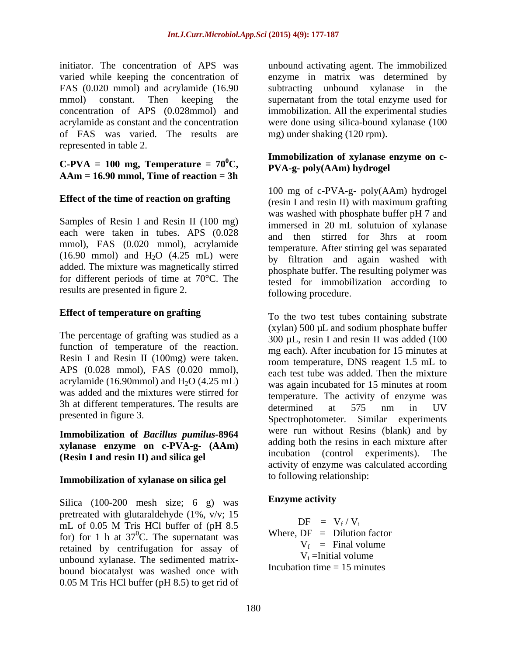initiator. The concentration of APS was unbound activating agent. The immobilized varied while keeping the concentration of enzyme in matrix was determined by FAS (0.020 mmol) and acrylamide (16.90 mmol) constant. Then keeping the supernatant from the total enzyme used for concentration of APS (0.028mmol) and immobilization. All the experimental studies acrylamide as constant and the concentration were done using silica-bound xylanase (100 of FAS was varied. The results are represented in table 2.

 $C-PVA = 100$  **mg, Temperature** =  $70^{\circ}C$ , **AAm = 16.90 mmol, Time of reaction = 3h**

each were taken in tubes. APS (0.028 mmol), FAS (0.020 mmol), acrylamide  $(16.90 \text{ mmol})$  and  $H<sub>2</sub>O$   $(4.25 \text{ mL})$  were added. The mixture was magnetically stirred for different periods of time at 70°C. The results are presented in figure 2.

### **Effect of temperature on grafting**

The percentage of grafting was studied as a function of temperature of the reaction. Resin I and Resin II (100mg) were taken. APS (0.028 mmol), FAS (0.020 mmol), acrylamide (16.90mmol) and  $H<sub>2</sub>O$  (4.25 mL) was added and the mixtures were stirred for 3h at different temperatures. The results are  $\frac{1}{2}$  determined at 575 nm in UV

### **Immobilization of** *Bacillus pumilus***-8964 xylanase enzyme on c-PVA-g- (AAm)** adding both the resins in each mixture after<br>incubation **(control**) experiments). The **(Resin I and resin II) and silica gel**

### **Immobilization of xylanase on silica gel**

Silica (100-200 mesh size; 6 g) was **Enzyme activity** pretreated with glutaraldehyde (1%,  $v/v$ ; 15<br>  $\sum_{n=1}^{\infty}$  of 0.05 M Trie IICl byfor of (gII 9.5 mL of 0.05 M Tris HCl buffer of (pH 8.5  $DF = V_f / V_i$ for) for 1 h at  $37^{\circ}$ C. The supernatant was Where,  $DF = Dilution factor$ retained by centrifugation for assay of unbound xylanase. The sedimented matrix bound biocatalyst was washed once with 0.05 M Tris HCl buffer (pH 8.5) to get rid of

subtracting unbound xylanase in the mg) under shaking (120 rpm).

### <sup>0</sup>C, PVA-g- poly(AAm) hydrogel **Immobilization of xylanase enzyme on c-**

**Effect of the time of reaction on grafting**<br>(resin I and resin II) with maximum grafting Samples of Resin I and Resin II (100 mg) was washed with phosphate buffer pH 7 and<br>immerged in 20 mJ, solution of wilapses 100 mg of c-PVA-g- poly(AAm) hydrogel (resin <sup>I</sup> and resin II) with maximum grafting was washed with phosphate buffer pH <sup>7</sup> and immersed in 20 mL solutuion of xylanase and then stirred for 3hrs at room temperature. After stirring gel was separated by filtration and again washed with phosphate buffer. The resulting polymer was tested for immobilization according to following procedure.

presented in figure 3. Spectrophotometer. Similar experiments To the two test tubes containing substrate  $(x$ ylan) 500  $\mu$ L and sodium phosphate buffer 300 µL, resin I and resin II was added (100 mg each). After incubation for 15 minutes at room temperature, DNS reagent 1.5 mL to each test tube was added. Then the mixture was again incubated for 15 minutes at room temperature. The activity of enzyme was determined at 575 nm in UV were run without Resins (blank) and by adding both the resins in each mixture after incubation (control experiments). activity of enzyme was calculated according to following relationship:

### **Enzyme activity**

 $DF = V_f / V_i$  $\sqrt{V_i}$ Where,  $DF = Dilution factor$  $V_f$  = Final volume = Final volume  $V_i$  = Initial volume =Initial volume Incubation time  $= 15$  minutes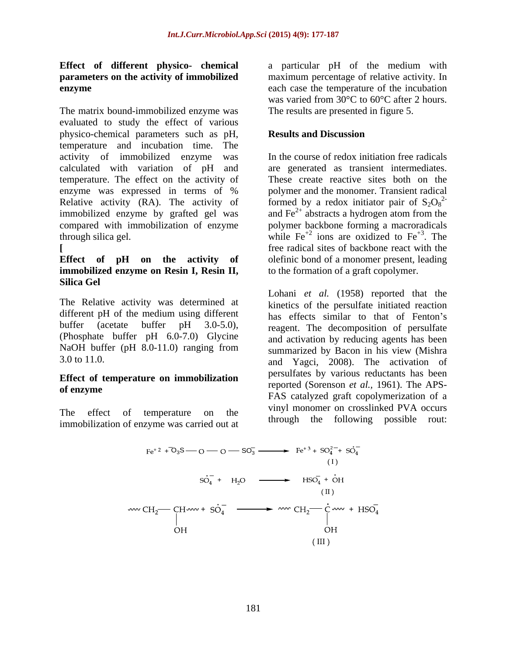The matrix bound-immobilized enzyme was evaluated to study the effect of various physico-chemical parameters such as pH, temperature and incubation time. The activity of immobilized enzyme was calculated with variation of pH and temperature. The effect on the activity of These create reactive sites both on the enzyme was expressed in terms of % Relative activity (RA). The activity of formed by a redox initiator pair of  $S_2O_8^2$ immobilized enzyme by grafted gel was compared with immobilization of enzyme polymer backbone forming a macroradicals through silica gel.  $\overline{R}$  while Fe<sup>+2</sup> ions are oxidized to Fe<sup>+3</sup>. The

## **immobilized enzyme on Resin I, Resin II, Silica Gel**

The Relative activity was determined at different pH of the medium using different (Phosphate buffer pH 6.0-7.0) Glycine NaOH buffer (pH 8.0-11.0) ranging from

# **Effect of temperature on immobilization**

The effect of temperature on the immobilization of enzyme was carried out at

**Effect of different physico- chemical** a particular pH of the medium with **parameters on the activity of immobilized** maximum percentage of relative activity. In **enzyme** each case the temperature of the incubation was varied from 30°C to 60°C after 2 hours. The results are presented in figure 5.

### **Results and Discussion**

**[** free radical sites of backbone react with the **Effect of pH on the activity of** olefinic bond of a monomer present, leading In the course of redox initiation free radicals are generated as transient intermediates. polymer and the monomer. Transient radical 2 and  $\text{Fe}^{2+}$  abstracts a hydrogen atom from the abstracts a hydrogen atom from the . The to the formation of a graft copolymer.

buffer (acetate buffer pH 3.0-5.0), reagent. The decomposition of persulfate  $3.0 \text{ to } 11.0$ . **of enzyme**<br>
FAS catalyzed graft copolymerization of a Lohani *et al.* (1958) reported that the kinetics of the persulfate initiated reaction has effects similar to that of Fenton's and activation by reducing agents has been summarized by Bacon in his view (Mishra persulfates by various reductants has been reported (Sorenson *et al.,* 1961). The APS vinyl monomer on crosslinked PVA occurs through the following possible rout:

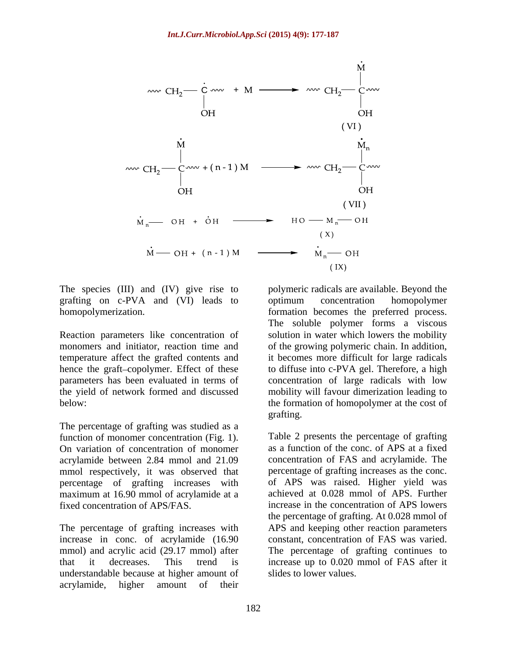

grafting on c-PVA and (VI) leads to optimum concentration homopolymer

Reaction parameters like concentration of

The percentage of grafting was studied as a function of monomer concentration (Fig. 1). On variation of concentration of monomer mmol respectively, it was observed that percentage of grafting increases with maximum at 16.90 mmol of acrylamide at a

increase in conc. of acrylamide (16.90 understandable because at higher amount of acrylamide, higher amount of their

The species (III) and (IV) give rise to polymeric radicalsare available. Beyond the homopolymerization. formation becomes the preferred process. monomers and initiator, reaction time and of the growing polymeric chain. In addition, temperature affect the grafted contents and it becomes more difficult for large radicals hence the graft-copolymer. Effect of these to diffuse into c-PVA gel. Therefore, a high parameters has been evaluated in terms of concentration of large radicals with low the yield of network formed and discussed mobility will favour dimerization leading to below: the formation of homopolymer at the cost of optimum concentration homopolymer The soluble polymer forms a viscous solution in water which lowers the mobility grafting.

acrylamide between 2.84 mmol and 21.09 concentration of FAS and acrylamide. The fixed concentration of APS/FAS. increase in the concentration of APS lowers The percentage of grafting increases with APS and keeping other reaction parameters mmol) and acrylic acid (29.17 mmol) after The percentage of grafting continues to that it decreases. This trend is increase up to 0.020 mmol of FAS after it Table 2 presents the percentage of grafting as a function of the conc. of APS at a fixed percentage of grafting increases as the conc. of APS was raised. Higher yield was achieved at 0.028 mmol of APS. Further the percentage of grafting. At 0.028 mmol of constant, concentration of FAS was varied. slides to lower values.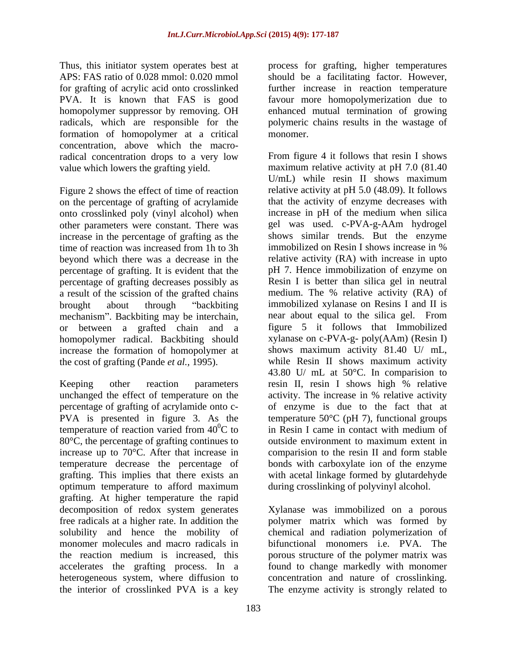formation of homopolymer at a critical concentration, above which the macroradical concentration drops to a very low

Figure 2 shows the effect of time of reaction on the percentage of grafting of acrylamide onto crosslinked poly (vinyl alcohol) when other parameters were constant. There was increase in the percentage of grafting as the shows similar trends. But the enzyme<br>time of reaction was increased from 1h to 3h immobilized on Resin I shows increase in % percentage of grafting. It is evident that the percentage of grafting decreases possibly as <br> **Resin I** is better than silica gel in neutral<br>a result of the scission of the grafted chains **a** medium. The % relative activity (RA) of a result of the scission of the grafted chains mechanism". Backbiting may be interchain, or between a grafted chain and a homopolymer radical. Backbiting should increase the formation of homopolymer at the cost of grafting (Pande *et al.,* 1995).

Keeping other reaction parameters resin II, resin I shows high % relative percentage of grafting of acrylamide onto c temperature of reaction varied from  $40^{\circ}$ C to 80°C, the percentage of grafting continues to outside environment to maximum extent in grafting. This implies that there exists an optimum temperature to afford maximum grafting. At higher temperature the rapid decomposition of redox system generates Xylanase was immobilized on a porous free radicals at a higher rate. In addition the polymer matrix which was formed by solubility and hence the mobility of chemical and radiation polymerization of monomer molecules and macro radicals in bifunctional monomers i.e. PVA. The the reaction medium is increased, this porous structure of the polymer matrix was accelerates the grafting process. In a found to change markedly with monomer heterogeneous system, where diffusion to concentration and nature of crosslinking.

Thus, this initiator system operates best at process for grafting, higher temperatures APS: FAS ratio of 0.028 mmol: 0.020 mmol should be a facilitating factor. However, for grafting of acrylic acid onto crosslinked further increase in reaction temperature PVA. It is known that FAS is good favour more homopolymerization due to homopolymer suppressor by removing. OH anhanced mutual termination of growing radicals, which are responsible for the polymeric chains results in the wastage of monomer.

value which lowers the grafting yield. maximum relative activity at pH 7.0 (81.40 time of reaction was increased from 1h to 3h immobilized on Resin I shows increase in % beyond which there was a decrease in the relative activity (RA) with increase in upto brought about through "backbiting immobilized xylanase on Resins I and II is unchanged the effect of temperature on the activity. The increase in % relative activity PVA is presented in figure 3. As the temperature  $50^{\circ}$ C (pH 7), functional groups in Resin I came in contact with medium of increase up to 70°C. After that increase in comparision to the resin II and form stable temperature decrease the percentage of bonds with carboxylate ion of the enzyme From figure 4 it follows that resin I shows U/mL) while resin II shows maximum relative activity at pH 5.0 (48.09). It follows that the activity of enzyme decreases with increase in pH of the medium when silica gel was used. c-PVA-g-AAm hydrogel shows similar trends. But the enzyme immobilized on Resin I shows increase in % pH 7. Hence immobilization of enzyme on Resin I is better than silica gel in neutral medium. The % relative activity (RA) of near about equal to the silica gel. From figure 5 it follows that Immobilized xylanase on c-PVA-g- poly(AAm) (Resin I) shows maximum activity 81.40 U/ mL, while Resin II shows maximum activity 43.80 U/ mL at 50°C. In comparision to resin II, resin I shows high % relative of enzyme is due to the fact that at in Resin I came in contact with medium of outside environment to maximum extent in with acetal linkage formed by glutardehyde during crosslinking of polyvinyl alcohol.

the interior of crosslinked PVA is a key The enzyme activity is strongly related to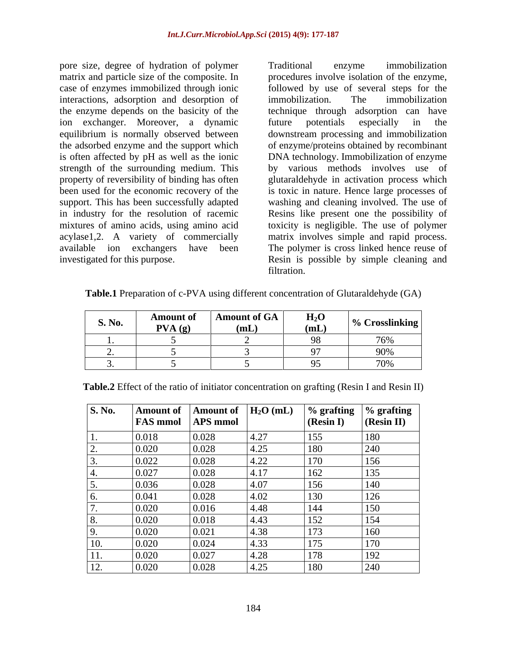pore size, degree of hydration of polymer matrix and particle size of the composite. In procedures involve isolation of the enzyme, case of enzymes immobilized through ionic followed by use of several steps for the interactions, adsorption and desorption of immobilization. The immobilization the enzyme depends on the basicity of the ion exchanger. Moreover, a dynamic equilibrium is normally observed between downstream processing and immobilization the adsorbed enzyme and the support which of enzyme/proteins obtained by recombinant is often affected by pH as well as the ionic DNA technology. Immobilization of enzyme strength of the surrounding medium. This property of reversibility of binding has often glutaraldehyde in activation process which been used for the economic recovery of the is toxic in nature. Hence large processes of support. This has been successfully adapted washing and cleaning involved. The use of in industry for the resolution of racemic Resins like present one the possibility of mixtures of amino acids, using amino acid toxicity is negligible. The use of polymer acylase1,2. A variety of commercially matrix involves simple and rapid process. available ion exchangers have been The polymer is cross linked hence reuse of investigated for this purpose. Resin is possible by simple cleaning and

Traditional enzyme immobilization immobilization. The immobilization technique through adsorption can have future potentials especially in the by various methods involves use of filtration.

**Table.1** Preparation of c-PVA using different concentration of Glutaraldehyde (GA)

|        | - Amount of | <b>Amou</b><br>L 01 ATA | $\sim$ |                                              |
|--------|-------------|-------------------------|--------|----------------------------------------------|
| S. No. | PVA(g)      | $($ $\mathbf{T}$ )      |        | $\Gamma$ pace                                |
|        |             |                         |        | $\overline{ }$ $\overline{ }$ $\overline{ }$ |
|        |             |                         |        |                                              |
|        |             |                         |        | $\overline{H}$ $\overline{H}$<br>1070        |

|     |       | $\vert$ S. No. $\vert$ Amount of $\vert$ Amount of $\vert$ H <sub>2</sub> O (mL) |                | $\%$ grafting $\%$ grafting                            |            |
|-----|-------|----------------------------------------------------------------------------------|----------------|--------------------------------------------------------|------------|
|     |       | <b>FAS mmol APS mmol</b>                                                         |                | $\left  \right $ (Resin I) $\left  \right $ (Resin II) |            |
|     | 0.018 | 0.028                                                                            | 4.27           | 155                                                    | 180        |
|     | 0.020 | 0.025                                                                            | 14.25          |                                                        | 240        |
|     | 0.022 | 0.028                                                                            | 4.22           | 170                                                    | 156        |
|     | 0.027 | 0.028                                                                            | 4.17           | 162.                                                   | 135        |
|     | 0.036 |                                                                                  | $4.0^\circ$    |                                                        | 140        |
|     | 0.041 | 0.028                                                                            | 4.02           | $130 -$                                                | 126        |
|     | 0.020 |                                                                                  | $ 4.48\rangle$ | 144                                                    | 150        |
|     | 0.020 |                                                                                  | 4.43           | 152                                                    | $1 - 1$    |
|     | 0.020 | 0.021                                                                            | 4.38           | 173                                                    | 160        |
|     | 0.020 | 0.024                                                                            | 14.33          |                                                        | 170        |
|     | 0.020 | 0.027                                                                            | $ 4.28\rangle$ |                                                        | 100<br>172 |
| ⊥∠. | 0.020 | 0.028                                                                            | 4.25           |                                                        | <b>240</b> |

**Table.2** Effect of the ratio of initiator concentration on grafting (Resin I and Resin II)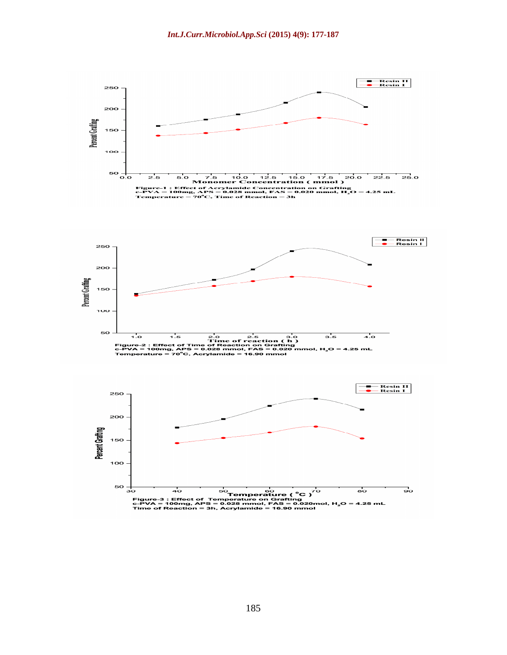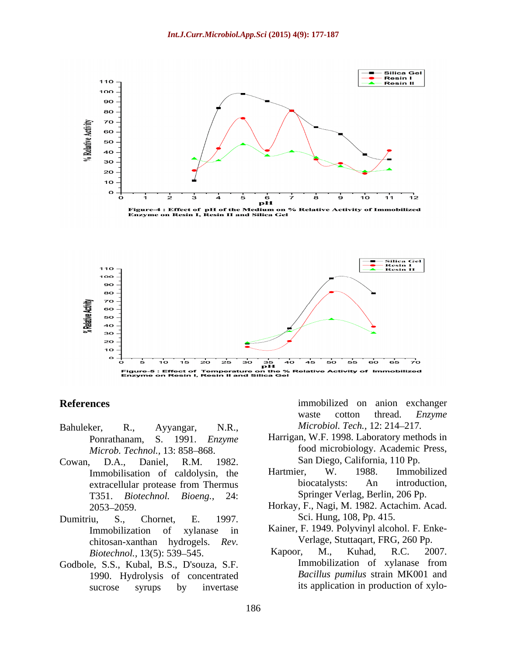

Figure-4 : Effect of pH of the Medium on % Relative Activity of Immobilized<br>Enzyme on Resin I, Resin II and Silica Gel



- Bahuleker, R., Ayyangar, N.R., *Microbiol. Tech.,* 12: 214 217*. Microb. Technol., 13: 858-868.*
- Cowan, D.A., Daniel, R.M. 1982. San Diego, California, 110 Pp.
- chitosan-xanthan hydrogels. *Rev.*
- Godbole, S.S., Kubal, B.S., D'souza, S.F. 1990. Hydrolysis of concentrated sucrose syrups by invertase its application in production of xylo-

**References** immobilized on anion exchanger waste cotton thread. *Enzyme*

- Ponrathanam, S. 1991. *Enzyme*  Harrigan, W.F. 1998. Laboratory methods in food microbiology. Academic Press,
- Immobilisation of caldolysin, the Hartmier, W. 1988. Immobilized<br>extracellular protease from Thermus biocatalysts: An introduction. extracellular protease from Thermus biocatalysts: An introduction, T351. *Biotechnol. Bioeng.,* 24: Hartmier, W. 1988. Immobilized biocatalysts: An introduction, Springer Verlag, Berlin, 206 Pp.
- 2053 2059. Horkay, F., Nagi, M. 1982. Actachim. Acad. Dumitriu, S., Chornet, E. 1997. Sci. Hung, 108, Pp. 415.
	- Immobilization of xylanase in Kainer, F. 1949. Polyvinyl alcohol. F. Enke- Verlage, Stuttaqart, FRG, 260 Pp.
	- *Biotechnol.,* 13(5): 539 545. Kapoor, M., Kuhad, R.C. 2007. Immobilization of xylanase from *Bacillus pumilus* strain MK001 and